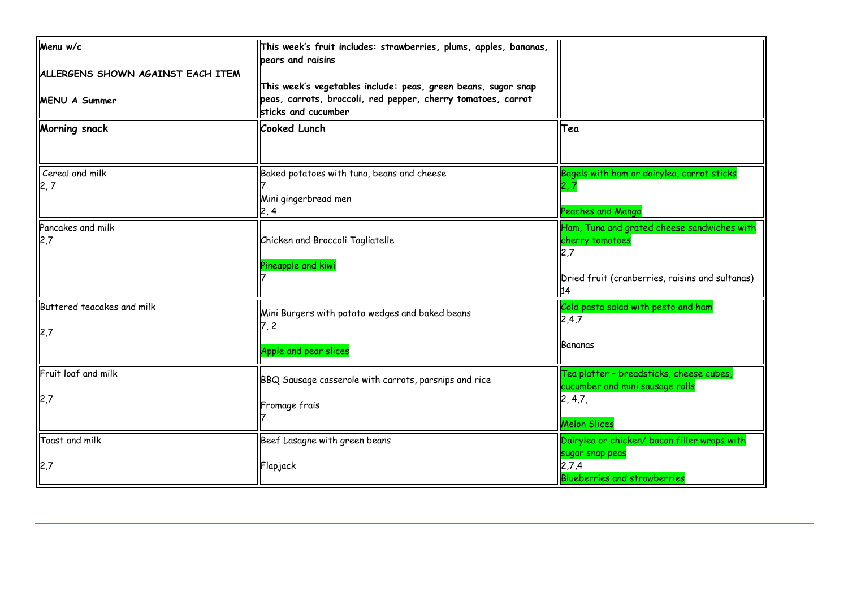| Menu w/c                          | This week's fruit includes: strawberries, plums, apples, bananas,<br>pears and raisins                                                               |                                                                             |
|-----------------------------------|------------------------------------------------------------------------------------------------------------------------------------------------------|-----------------------------------------------------------------------------|
| ALLERGENS SHOWN AGAINST EACH ITEM |                                                                                                                                                      |                                                                             |
| <b>MENU A Summer</b>              | This week's vegetables include: peas, green beans, sugar snap<br>peas, carrots, broccoli, red pepper, cherry tomatoes, carrot<br>sticks and cucumber |                                                                             |
| Morning snack                     | Cooked Lunch                                                                                                                                         | Tea                                                                         |
| Cereal and milk<br>2, 7           | Baked potatoes with tuna, beans and cheese<br>Mini gingerbread men<br>2, 4                                                                           | Bagels with ham or dairylea, carrot sticks<br>Peaches and Mango             |
| Pancakes and milk<br>2,7          | Chicken and Broccoli Tagliatelle                                                                                                                     | Ham, Tuna and grated cheese sandwiches with<br>cherry tomatoes<br>2.7       |
|                                   | Pineapple and kiwi                                                                                                                                   | Dried fruit (cranberries, raisins and sultanas)<br>14                       |
| Buttered teacakes and milk        | Mini Burgers with potato wedges and baked beans<br>7, 2                                                                                              | Cold pasta salad with pesto and ham<br>2,4,7                                |
| 2,7                               | Apple and pear slices                                                                                                                                | Bananas                                                                     |
| Fruit loaf and milk               | BBQ Sausage casserole with carrots, parsnips and rice                                                                                                | Tea platter - breadsticks, cheese cubes,<br>cucumber and mini sausage rolls |
| 2,7                               | Fromage frais                                                                                                                                        | 2, 4, 7,<br><b>Melon Slices</b>                                             |
| Toast and milk                    | Beef Lasagne with green beans                                                                                                                        | Dairylea or chicken/ bacon filler wraps with                                |
| 2,7                               | Flapjack                                                                                                                                             | sugar snap peas<br>2,7,4<br><b>Blueberries and strawberries</b>             |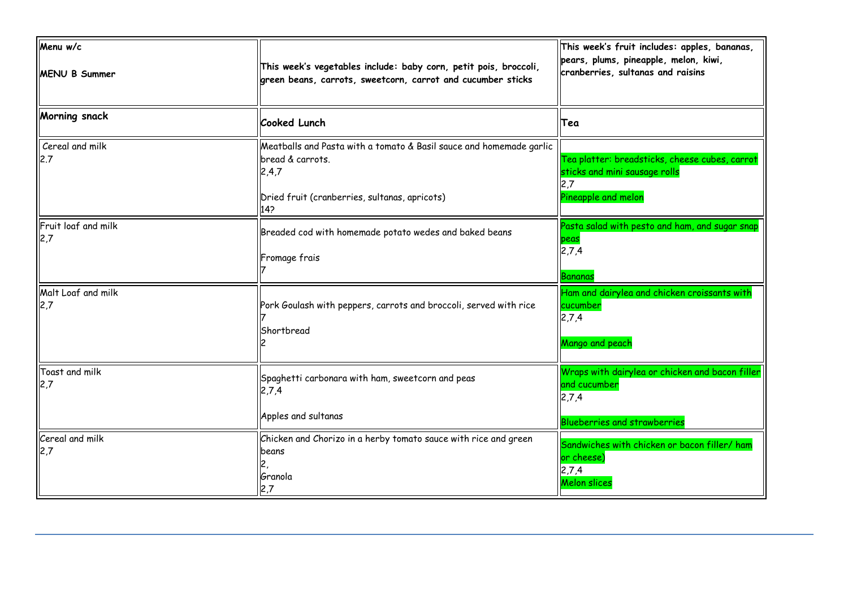| Menu w/c<br><b>MENU B Summer</b> | This week's vegetables include: baby corn, petit pois, broccoli,<br>green beans, carrots, sweetcorn, carrot and cucumber sticks                          | This week's fruit includes: apples, bananas,<br>pears, plums, pineapple, melon, kiwi,<br>cranberries, sultanas and raisins |
|----------------------------------|----------------------------------------------------------------------------------------------------------------------------------------------------------|----------------------------------------------------------------------------------------------------------------------------|
| Morning snack                    | <b>Cooked Lunch</b>                                                                                                                                      | Tea                                                                                                                        |
| Cereal and milk<br>2.7           | Meatballs and Pasta with a tomato & Basil sauce and homemade garlic<br>bread & carrots.<br>2,4,7<br>Dried fruit (cranberries, sultanas, apricots)<br>142 | Tea platter: breadsticks, cheese cubes, carrot<br>sticks and mini sausage rolls<br>Pineapple and melon                     |
| Fruit loaf and milk<br>2,7       | Breaded cod with homemade potato wedes and baked beans<br>Fromage frais                                                                                  | Pasta salad with pesto and ham, and sugar snap<br>peas<br>2,7,4<br>Bananas                                                 |
| Malt Loaf and milk<br>2,7        | Pork Goulash with peppers, carrots and broccoli, served with rice<br>Shortbread                                                                          | Ham and dairylea and chicken croissants with<br>cucumber<br>2,7,4<br>Mango and peach                                       |
| Toast and milk<br>2,7            | Spaghetti carbonara with ham, sweetcorn and peas<br>2,7,4<br>Apples and sultanas                                                                         | Wraps with dairylea or chicken and bacon filler<br>and cucumber<br>2,7,4<br><b>Blueberries and strawberries</b>            |
| Cereal and milk<br>2,7           | Chicken and Chorizo in a herby tomato sauce with rice and green<br>lbeans<br>Granola<br>2,7                                                              | Sandwiches with chicken or bacon filler/ ham<br>or cheese)<br>2,7,4<br>Melon slices                                        |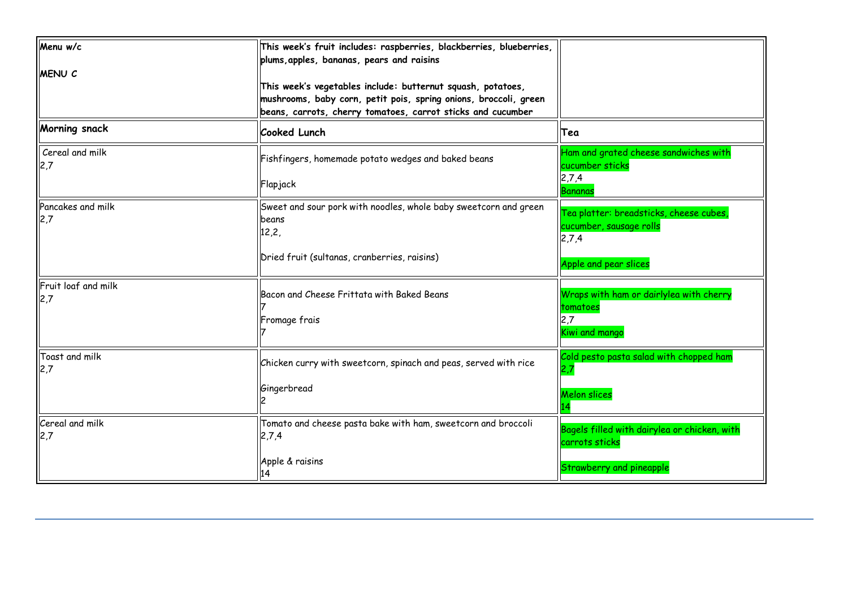| Menu w/c<br><b>MENU C</b> | This week's fruit includes: raspberries, blackberries, blueberries,<br>plums, apples, bananas, pears and raisins<br>This week's vegetables include: butternut squash, potatoes,<br>mushrooms, baby corn, petit pois, spring onions, broccoli, green<br>beans, carrots, cherry tomatoes, carrot sticks and cucumber |                                                                                            |
|---------------------------|--------------------------------------------------------------------------------------------------------------------------------------------------------------------------------------------------------------------------------------------------------------------------------------------------------------------|--------------------------------------------------------------------------------------------|
| Morning snack             | Cooked Lunch                                                                                                                                                                                                                                                                                                       | Tea                                                                                        |
| Cereal and milk           | Fishfingers, homemade potato wedges and baked beans<br>Flapjack                                                                                                                                                                                                                                                    | Ham and grated cheese sandwiches with<br>cucumber sticks<br>2,7,4<br>Bananas               |
| Pancakes and milk<br>2,7  | Sweet and sour pork with noodles, whole baby sweetcorn and green<br>beans<br>12,2,                                                                                                                                                                                                                                 | Tea platter: breadsticks, cheese cubes,<br>cucumber, sausage rolls<br>2,7,4                |
|                           | Dried fruit (sultanas, cranberries, raisins)                                                                                                                                                                                                                                                                       | Apple and pear slices                                                                      |
| Fruit loaf and milk       | Bacon and Cheese Frittata with Baked Beans<br>Fromage frais                                                                                                                                                                                                                                                        | Wraps with ham or dairlylea with cherry<br>tomatoes<br>2,7<br>Kiwi and mango               |
| Toast and milk            | Chicken curry with sweetcorn, spinach and peas, served with rice<br>Gingerbread                                                                                                                                                                                                                                    | Cold pesto pasta salad with chopped ham<br>2,7<br>Melon slices                             |
| Cereal and milk<br>2,7    | Tomato and cheese pasta bake with ham, sweetcorn and broccoli<br>2,7,4<br>Apple & raisins<br>14                                                                                                                                                                                                                    | Bagels filled with dairylea or chicken, with<br>carrots sticks<br>Strawberry and pineapple |